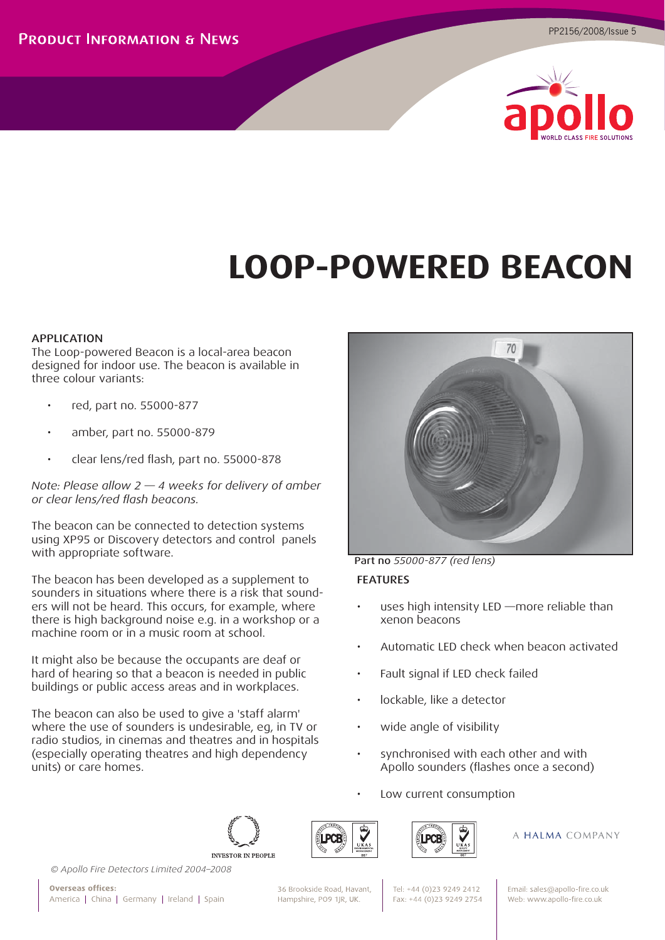

# **LOOP-POWERED BEACON**

# APPLICATION

The Loop-powered Beacon is a local-area beacon designed for indoor use. The beacon is available in three colour variants:

- red, part no. 55000-877
- amber, part no. 55000-879
- clear lens/red flash, part no. 55000-878

*Note: Please allow 2 — 4 weeks for delivery of amber or clear lens/red fl ash beacons.*

The beacon can be connected to detection systems using XP95 or Discovery detectors and control panels with appropriate software.

The beacon has been developed as a supplement to sounders in situations where there is a risk that sounders will not be heard. This occurs, for example, where there is high background noise e.g. in a workshop or a machine room or in a music room at school.

It might also be because the occupants are deaf or hard of hearing so that a beacon is needed in public buildings or public access areas and in workplaces.

The beacon can also be used to give a 'staff alarm' where the use of sounders is undesirable, eg, in TV or radio studios, in cinemas and theatres and in hospitals (especially operating theatres and high dependency units) or care homes.



Part no *55000-877 (red lens)* FEATURES

- uses high intensity LED more reliable than xenon beacons
- Automatic LED check when beacon activated
- Fault signal if LED check failed
- lockable, like a detector
- wide angle of visibility
- synchronised with each other and with Apollo sounders (flashes once a second)
- Low current consumption







A HALMA COMPANY

*© Apollo Fire Detectors Limited 2004–2008*

**Overseas offices:** America | China | Germany | Ireland | Spain 36 Brookside Road, Havant, Hampshire, PO9 1JR, UK.

Tel: +44 (0)23 9249 2412 Fax: +44 (0)23 9249 2754 Email: sales@apollo-fire.co.uk Web: www.apollo-fire.co.uk